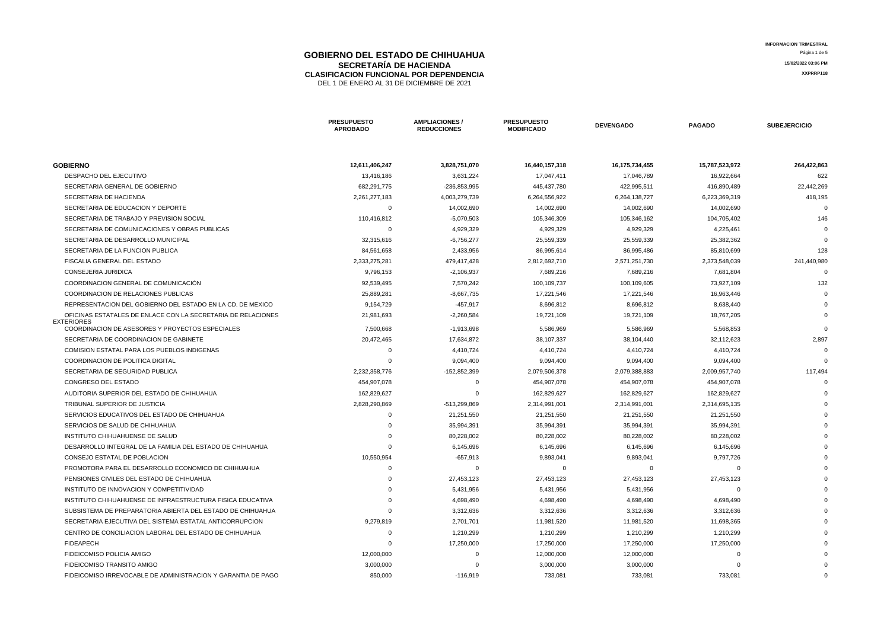**INFORMACION TRIMESTRAL** Página 1 de 5 **15/02/2022 03:06 PM XXPRRP118**

# **GOBIERNO DEL ESTADO DE CHIHUAHUA SECRETARÍA DE HACIENDA CLASIFICACION FUNCIONAL POR DEPENDENCIA**

DEL 1 DE ENERO AL 31 DE DICIEMBRE DE 2021

| 15,787,523,972 | 264,422,863 |
|----------------|-------------|
| 16,922,664     | 622         |
| 416,890,489    | 22,442,269  |
| 6,223,369,319  | 418,195     |
| 14,002,690     | 0           |
| 104,705,402    | 146         |
| 4,225,461      | 0           |
| 25,382,362     | 0           |
| 85,810,699     | 128         |
| 2,373,548,039  | 241,440,980 |
| 7,681,804      | 0           |
| 73,927,109     | 132         |
| 16,963,446     | 0           |
| 8,638,440      | 0           |
| 18,767,205     | 0           |
| 5,568,853      | 0           |
| 32,112,623     | 2,897       |
| 4,410,724      | 0           |
| 9,094,400      | 0           |
| 2,009,957,740  | 117,494     |
| 454,907,078    | 0           |
| 162,829,627    | 0           |
| 2,314,695,135  | 0           |
| 21,251,550     | 0           |
| 35,994,391     | 0           |
| 80,228,002     | 0           |
| 6,145,696      | 0           |
| 9,797,726      | 0           |
| 0              | 0           |
| 27,453,123     | 0           |
| 0              | 0           |
| 4,698,490      | 0           |
| 3,312,636      | 0           |
| 11,698,365     | 0           |
| 1,210,299      | 0           |
| 17,250,000     | 0           |
| 0              | 0           |
| 0              | 0           |
|                |             |

|                                                              | <b>PRESUPUESTO</b><br><b>APROBADO</b> | <b>AMPLIACIONES/</b><br><b>REDUCCIONES</b> | <b>PRESUPUESTO</b><br><b>MODIFICADO</b> | <b>DEVENGADO</b>             | <b>PAGADO</b>                | <b>SUBEJERCICIO</b> |
|--------------------------------------------------------------|---------------------------------------|--------------------------------------------|-----------------------------------------|------------------------------|------------------------------|---------------------|
|                                                              |                                       |                                            |                                         |                              |                              |                     |
| <b>GOBIERNO</b><br>DESPACHO DEL EJECUTIVO                    | 12,611,406,247<br>13,416,186          | 3,828,751,070<br>3,631,224                 | 16,440,157,318<br>17,047,411            | 16,175,734,455<br>17,046,789 | 15,787,523,972<br>16,922,664 | 264,422,863<br>622  |
| SECRETARIA GENERAL DE GOBIERNO                               |                                       |                                            |                                         |                              |                              | 22,442,269          |
| SECRETARIA DE HACIENDA                                       | 682,291,775<br>2,261,277,183          | -236,853,995<br>4,003,279,739              | 445,437,780<br>6,264,556,922            | 422,995,511<br>6,264,138,727 | 416,890,489<br>6,223,369,319 | 418,195             |
| SECRETARIA DE EDUCACION Y DEPORTE                            | $\mathbf 0$                           | 14,002,690                                 | 14,002,690                              | 14,002,690                   |                              |                     |
| SECRETARIA DE TRABAJO Y PREVISION SOCIAL                     |                                       | $-5,070,503$                               |                                         | 105,346,162                  | 14,002,690                   |                     |
| SECRETARIA DE COMUNICACIONES Y OBRAS PUBLICAS                | 110,416,812<br>0                      |                                            | 105,346,309<br>4,929,329                |                              | 104,705,402                  | 146                 |
| SECRETARIA DE DESARROLLO MUNICIPAL                           | 32,315,616                            | 4,929,329<br>$-6,756,277$                  | 25,559,339                              | 4,929,329<br>25,559,339      | 4,225,461<br>25,382,362      |                     |
| SECRETARIA DE LA FUNCION PUBLICA                             |                                       |                                            |                                         |                              |                              |                     |
|                                                              | 84,561,658                            | 2,433,956                                  | 86,995,614                              | 86,995,486                   | 85,810,699                   | 128                 |
| FISCALIA GENERAL DEL ESTADO<br>CONSEJERIA JURIDICA           | 2,333,275,281<br>9,796,153            | 479,417,428                                | 2,812,692,710<br>7,689,216              | 2,571,251,730                | 2,373,548,039                | 241,440,980         |
| COORDINACION GENERAL DE COMUNICACIÓN                         | 92,539,495                            | $-2,106,937$<br>7,570,242                  | 100,109,737                             | 7,689,216<br>100,109,605     | 7,681,804<br>73,927,109      |                     |
| COORDINACION DE RELACIONES PUBLICAS                          | 25,889,281                            | $-8,667,735$                               |                                         |                              |                              | 132                 |
| REPRESENTACION DEL GOBIERNO DEL ESTADO EN LA CD. DE MEXICO   | 9,154,729                             | $-457,917$                                 | 17,221,546<br>8,696,812                 | 17,221,546<br>8,696,812      | 16,963,446                   |                     |
| OFICINAS ESTATALES DE ENLACE CON LA SECRETARIA DE RELACIONES | 21,981,693                            | $-2,260,584$                               | 19,721,109                              | 19,721,109                   | 8,638,440<br>18,767,205      |                     |
| <b>EXTERIORES</b>                                            |                                       |                                            |                                         |                              |                              |                     |
| COORDINACION DE ASESORES Y PROYECTOS ESPECIALES              | 7,500,668                             | $-1,913,698$                               | 5,586,969                               | 5,586,969                    | 5,568,853                    |                     |
| SECRETARIA DE COORDINACION DE GABINETE                       | 20,472,465                            | 17,634,872                                 | 38,107,337                              | 38,104,440                   | 32,112,623                   | 2,897               |
| <b>COMISION ESTATAL PARA LOS PUEBLOS INDIGENAS</b>           | 0                                     | 4,410,724                                  | 4,410,724                               | 4,410,724                    | 4,410,724                    |                     |
| <b>COORDINACION DE POLITICA DIGITAL</b>                      | $\Omega$                              | 9,094,400                                  | 9,094,400                               | 9,094,400                    | 9,094,400                    |                     |
| SECRETARIA DE SEGURIDAD PUBLICA                              | 2,232,358,776                         | -152,852,399                               | 2,079,506,378                           | 2,079,388,883                | 2,009,957,740                | 117,494             |
| <b>CONGRESO DEL ESTADO</b>                                   | 454,907,078                           | 0                                          | 454,907,078                             | 454,907,078                  | 454,907,078                  |                     |
| AUDITORIA SUPERIOR DEL ESTADO DE CHIHUAHUA                   | 162,829,627                           | 0                                          | 162,829,627                             | 162,829,627                  | 162,829,627                  |                     |
| TRIBUNAL SUPERIOR DE JUSTICIA                                | 2,828,290,869                         | -513,299,869                               | 2,314,991,001                           | 2,314,991,001                | 2,314,695,135                |                     |
| SERVICIOS EDUCATIVOS DEL ESTADO DE CHIHUAHUA                 | $\Omega$                              | 21,251,550                                 | 21,251,550                              | 21,251,550                   | 21,251,550                   |                     |
| SERVICIOS DE SALUD DE CHIHUAHUA                              |                                       | 35,994,391                                 | 35,994,391                              | 35,994,391                   | 35,994,391                   |                     |
| INSTITUTO CHIHUAHUENSE DE SALUD                              |                                       | 80,228,002                                 | 80,228,002                              | 80,228,002                   | 80,228,002                   |                     |
| DESARROLLO INTEGRAL DE LA FAMILIA DEL ESTADO DE CHIHUAHUA    |                                       | 6,145,696                                  | 6,145,696                               | 6,145,696                    | 6,145,696                    |                     |
| CONSEJO ESTATAL DE POBLACION                                 | 10,550,954                            | -657,913                                   | 9,893,041                               | 9,893,041                    | 9,797,726                    |                     |
| PROMOTORA PARA EL DESARROLLO ECONOMICO DE CHIHUAHUA          |                                       |                                            |                                         |                              |                              |                     |
| PENSIONES CIVILES DEL ESTADO DE CHIHUAHUA                    |                                       | 27,453,123                                 | 27,453,123                              | 27,453,123                   | 27,453,123                   |                     |
| INSTITUTO DE INNOVACION Y COMPETITIVIDAD                     |                                       | 5,431,956                                  | 5,431,956                               | 5,431,956                    | $\Omega$                     |                     |
| INSTITUTO CHIHUAHUENSE DE INFRAESTRUCTURA FISICA EDUCATIVA   |                                       | 4,698,490                                  | 4,698,490                               | 4,698,490                    | 4,698,490                    |                     |
| SUBSISTEMA DE PREPARATORIA ABIERTA DEL ESTADO DE CHIHUAHUA   |                                       | 3,312,636                                  | 3,312,636                               | 3,312,636                    | 3,312,636                    |                     |
| SECRETARIA EJECUTIVA DEL SISTEMA ESTATAL ANTICORRUPCION      | 9,279,819                             | 2,701,701                                  | 11,981,520                              | 11,981,520                   | 11,698,365                   |                     |
| CENTRO DE CONCILIACION LABORAL DEL ESTADO DE CHIHUAHUA       | $\Omega$                              | 1,210,299                                  | 1,210,299                               | 1,210,299                    | 1,210,299                    |                     |
| <b>FIDEAPECH</b>                                             | 0                                     | 17,250,000                                 | 17,250,000                              | 17,250,000                   | 17,250,000                   |                     |
| FIDEICOMISO POLICIA AMIGO                                    | 12,000,000                            | 0                                          | 12,000,000                              | 12,000,000                   | 0                            |                     |
| FIDEICOMISO TRANSITO AMIGO                                   | 3,000,000                             | 0                                          | 3,000,000                               | 3,000,000                    | $\Omega$                     |                     |
| FIDEICOMISO IRREVOCABLE DE ADMINISTRACION Y GARANTIA DE PAGO | 850,000                               | $-116,919$                                 | 733,081                                 | 733,081                      | 733,081                      |                     |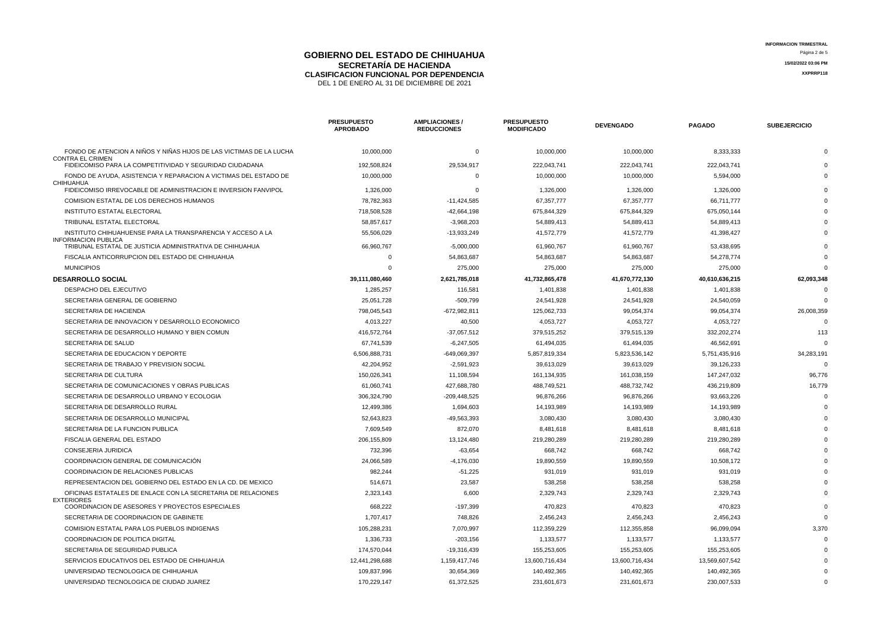**INFORMACION TRIMESTRAL** Página 2 de 5 **15/02/2022 03:06 PM XXPRRP118**

# **GOBIERNO DEL ESTADO DE CHIHUAHUA SECRETARÍA DE HACIENDA CLASIFICACION FUNCIONAL POR DEPENDENCIA**

DEL 1 DE ENERO AL 31 DE DICIEMBRE DE 2021

|          | 8,333,333      |
|----------|----------------|
|          | 222,043,741    |
|          | 5,594,000      |
|          | 1,326,000      |
|          | 66,711,777     |
|          | 675,050,144    |
|          | 54,889,413     |
|          | 41,398,427     |
|          | 53,438,695     |
|          | 54,278,774     |
|          | 275,000        |
| 62,093,3 | 40,610,636,215 |
|          | 1,401,838      |
|          | 24,540,059     |
| 26,008,3 | 99,054,374     |
|          | 4,053,727      |
| 1        | 332,202,274    |
|          | 46,562,691     |
| 34,283,1 | 5,751,435,916  |
|          | 39,126,233     |
| 96,7     | 147,247,032    |
| 16,7     | 436,219,809    |
|          | 93,663,226     |
|          | 14,193,989     |
|          | 3,080,430      |
|          | 8,481,618      |
|          | 219,280,289    |
|          | 668,742        |
|          | 10,508,172     |
|          | 931,019        |
|          | 538,258        |
|          | 2,329,743      |
|          | 470,823        |
|          | 2,456,243      |
| 3,3      | 96,099,094     |
|          | 1,133,577      |
|          | 155,253,605    |
|          | 13,569,607,542 |
|          | 140,492,365    |
|          | 220.007.522    |

|                                                                                                | <b>PRESUPUESTO</b><br><b>APROBADO</b> | <b>AMPLIACIONES/</b><br><b>REDUCCIONES</b> | <b>PRESUPUESTO</b><br><b>MODIFICADO</b> | <b>DEVENGADO</b> | <b>PAGADO</b>  | <b>SUBEJERCICIO</b> |
|------------------------------------------------------------------------------------------------|---------------------------------------|--------------------------------------------|-----------------------------------------|------------------|----------------|---------------------|
| FONDO DE ATENCION A NIÑOS Y NIÑAS HIJOS DE LAS VICTIMAS DE LA LUCHA<br><b>CONTRA EL CRIMEN</b> | 10,000,000                            | 0                                          | 10,000,000                              | 10,000,000       | 8,333,333      |                     |
| FIDEICOMISO PARA LA COMPETITIVIDAD Y SEGURIDAD CIUDADANA                                       | 192,508,824                           | 29,534,917                                 | 222,043,741                             | 222,043,741      | 222,043,741    |                     |
| FONDO DE AYUDA, ASISTENCIA Y REPARACION A VICTIMAS DEL ESTADO DE                               | 10,000,000                            | 0                                          | 10,000,000                              | 10,000,000       | 5,594,000      |                     |
| <b>CHIHUAHUA</b><br>FIDEICOMISO IRREVOCABLE DE ADMINISTRACION E INVERSION FANVIPOL             | 1,326,000                             | 0                                          | 1,326,000                               | 1,326,000        | 1,326,000      |                     |
| COMISION ESTATAL DE LOS DERECHOS HUMANOS                                                       | 78,782,363                            | -11,424,585                                | 67,357,777                              | 67,357,777       | 66,711,777     |                     |
| INSTITUTO ESTATAL ELECTORAL                                                                    | 718,508,528                           | $-42,664,198$                              | 675,844,329                             | 675,844,329      | 675,050,144    |                     |
| <b>TRIBUNAL ESTATAL ELECTORAL</b>                                                              | 58,857,617                            | $-3,968,203$                               | 54,889,413                              | 54,889,413       | 54,889,413     |                     |
| INSTITUTO CHIHUAHUENSE PARA LA TRANSPARENCIA Y ACCESO A LA<br><b>INFORMACION PUBLICA</b>       | 55,506,029                            | -13,933,249                                | 41,572,779                              | 41,572,779       | 41,398,427     |                     |
| TRIBUNAL ESTATAL DE JUSTICIA ADMINISTRATIVA DE CHIHUAHUA                                       | 66,960,767                            | $-5,000,000$                               | 61,960,767                              | 61,960,767       | 53,438,695     |                     |
| FISCALIA ANTICORRUPCION DEL ESTADO DE CHIHUAHUA                                                | $\Omega$                              | 54,863,687                                 | 54,863,687                              | 54,863,687       | 54,278,774     |                     |
| <b>MUNICIPIOS</b>                                                                              | $\Omega$                              | 275,000                                    | 275,000                                 | 275,000          | 275,000        |                     |
| <b>DESARROLLO SOCIAL</b>                                                                       | 39,111,080,460                        | 2,621,785,018                              | 41,732,865,478                          | 41,670,772,130   | 40,610,636,215 | 62,093,348          |
| DESPACHO DEL EJECUTIVO                                                                         | 1,285,257                             | 116,581                                    | 1,401,838                               | 1,401,838        | 1,401,838      |                     |
| SECRETARIA GENERAL DE GOBIERNO                                                                 | 25,051,728                            | $-509,799$                                 | 24,541,928                              | 24,541,928       | 24,540,059     |                     |
| SECRETARIA DE HACIENDA                                                                         | 798,045,543                           | -672,982,811                               | 125,062,733                             | 99,054,374       | 99,054,374     | 26,008,359          |
| SECRETARIA DE INNOVACION Y DESARROLLO ECONOMICO                                                | 4,013,227                             | 40,500                                     | 4,053,727                               | 4,053,727        | 4,053,727      |                     |
| SECRETARIA DE DESARROLLO HUMANO Y BIEN COMUN                                                   | 416,572,764                           | $-37,057,512$                              | 379,515,252                             | 379,515,139      | 332,202,274    | 113                 |
| SECRETARIA DE SALUD                                                                            | 67,741,539                            | $-6,247,505$                               | 61,494,035                              | 61,494,035       | 46,562,691     |                     |
| SECRETARIA DE EDUCACION Y DEPORTE                                                              | 6,506,888,731                         | -649,069,397                               | 5,857,819,334                           | 5,823,536,142    | 5,751,435,916  | 34,283,191          |
| SECRETARIA DE TRABAJO Y PREVISION SOCIAL                                                       | 42,204,952                            | $-2,591,923$                               | 39,613,029                              | 39,613,029       | 39,126,233     |                     |
| SECRETARIA DE CULTURA                                                                          | 150,026,341                           | 11,108,594                                 | 161,134,935                             | 161,038,159      | 147,247,032    | 96,776              |
| SECRETARIA DE COMUNICACIONES Y OBRAS PUBLICAS                                                  | 61,060,741                            | 427,688,780                                | 488,749,521                             | 488,732,742      | 436,219,809    | 16,779              |
| SECRETARIA DE DESARROLLO URBANO Y ECOLOGIA                                                     | 306,324,790                           | -209,448,525                               | 96,876,266                              | 96,876,266       | 93,663,226     |                     |
| SECRETARIA DE DESARROLLO RURAL                                                                 | 12,499,386                            | 1,694,603                                  | 14,193,989                              | 14,193,989       | 14,193,989     |                     |
| SECRETARIA DE DESARROLLO MUNICIPAL                                                             | 52,643,823                            | -49,563,393                                | 3,080,430                               | 3,080,430        | 3,080,430      |                     |
| SECRETARIA DE LA FUNCION PUBLICA                                                               | 7,609,549                             | 872,070                                    | 8,481,618                               | 8,481,618        | 8,481,618      |                     |
| FISCALIA GENERAL DEL ESTADO                                                                    | 206,155,809                           | 13,124,480                                 | 219,280,289                             | 219,280,289      | 219,280,289    |                     |
| CONSEJERIA JURIDICA                                                                            | 732,396                               | $-63,654$                                  | 668,742                                 | 668,742          | 668,742        |                     |
| COORDINACION GENERAL DE COMUNICACIÓN                                                           | 24,066,589                            | $-4,176,030$                               | 19,890,559                              | 19,890,559       | 10,508,172     |                     |
| COORDINACION DE RELACIONES PUBLICAS                                                            | 982,244                               | $-51,225$                                  | 931,019                                 | 931,019          | 931,019        |                     |
| REPRESENTACION DEL GOBIERNO DEL ESTADO EN LA CD. DE MEXICO                                     | 514,671                               | 23,587                                     | 538,258                                 | 538,258          | 538,258        |                     |
| OFICINAS ESTATALES DE ENLACE CON LA SECRETARIA DE RELACIONES                                   | 2,323,143                             | 6,600                                      | 2,329,743                               | 2,329,743        | 2,329,743      |                     |
| <b>EXTERIORES</b><br>COORDINACION DE ASESORES Y PROYECTOS ESPECIALES                           | 668,222                               | -197,399                                   | 470,823                                 | 470,823          | 470,823        |                     |
| SECRETARIA DE COORDINACION DE GABINETE                                                         | 1,707,417                             | 748,826                                    | 2,456,243                               | 2,456,243        | 2,456,243      |                     |
| <b>COMISION ESTATAL PARA LOS PUEBLOS INDIGENAS</b>                                             | 105,288,231                           | 7,070,997                                  | 112,359,229                             | 112,355,858      | 96,099,094     | 3,370               |
| COORDINACION DE POLITICA DIGITAL                                                               | 1,336,733                             | $-203,156$                                 | 1,133,577                               | 1,133,577        | 1,133,577      |                     |
| SECRETARIA DE SEGURIDAD PUBLICA                                                                | 174,570,044                           | $-19,316,439$                              | 155,253,605                             | 155,253,605      | 155,253,605    |                     |
| SERVICIOS EDUCATIVOS DEL ESTADO DE CHIHUAHUA                                                   | 12,441,298,688                        | 1,159,417,746                              | 13,600,716,434                          | 13,600,716,434   | 13,569,607,542 |                     |
| UNIVERSIDAD TECNOLOGICA DE CHIHUAHUA                                                           | 109,837,996                           | 30,654,369                                 | 140,492,365                             | 140,492,365      | 140,492,365    |                     |
| UNIVERSIDAD TECNOLOGICA DE CIUDAD JUAREZ                                                       | 170,229,147                           | 61,372,525                                 | 231,601,673                             | 231,601,673      | 230,007,533    |                     |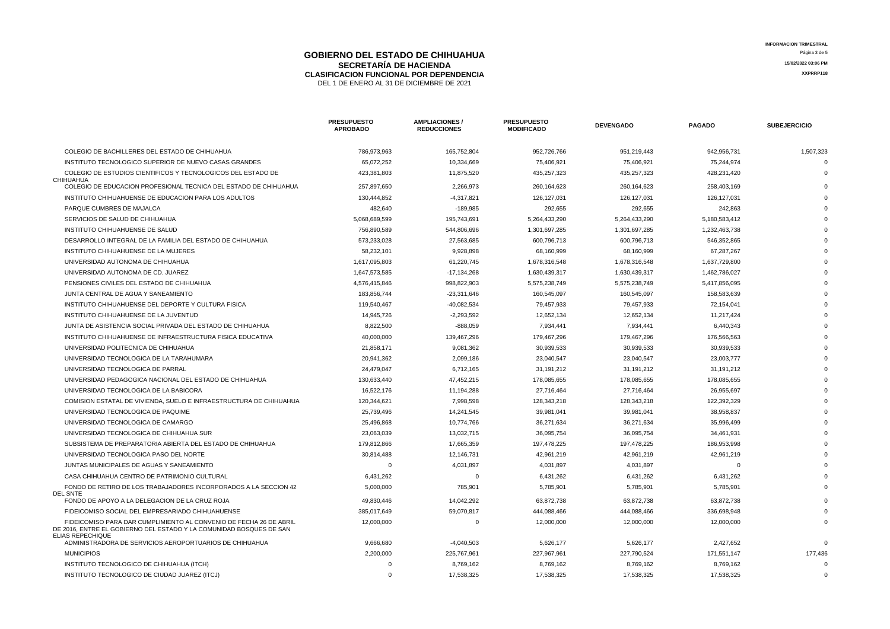**INFORMACION TRIMESTRAL** Página 3 de 5 **15/02/2022 03:06 PM XXPRRP118**

# **GOBIERNO DEL ESTADO DE CHIHUAHUA SECRETARÍA DE HACIENDA CLASIFICACION FUNCIONAL POR DEPENDENCIA**

DEL 1 DE ENERO AL 31 DE DICIEMBRE DE 2021

| 942,956,731   | 1,507,323 |
|---------------|-----------|
| 75,244,974    | 0         |
| 428,231,420   | 0         |
| 258,403,169   | 0         |
| 126, 127, 031 | 0         |
| 242,863       | 0         |
| 5,180,583,412 | 0         |
| 1,232,463,738 | 0         |
| 546,352,865   | 0         |
| 67,287,267    | 0         |
| 1,637,729,800 | 0         |
| 1,462,786,027 | 0         |
| 5,417,856,095 | 0         |
| 158,583,639   | 0         |
| 72,154,041    | 0         |
| 11,217,424    | 0         |
| 6,440,343     | 0         |
| 176,566,563   | 0         |
| 30,939,533    | 0         |
| 23,003,777    | 0         |
| 31,191,212    | 0         |
| 178,085,655   | 0         |
| 26,955,697    | 0         |
| 122,392,329   | 0         |
| 38,958,837    | 0         |
| 35,996,499    | 0         |
| 34,461,931    | 0         |
| 186,953,998   | 0         |
| 42,961,219    | 0         |
| 0             | 0         |
| 6,431,262     | 0         |
| 5,785,901     | 0         |
| 63,872,738    | 0         |
| 336,698,948   | 0         |
| 12,000,000    | 0         |
| 2,427,652     | 0         |
| 171,551,147   | 177,436   |
| 8,769,162     | 0         |
| 17,538,325    | 0         |

|                                                                                                                                                               | <b>PRESUPUESTO</b><br><b>APROBADO</b> | <b>AMPLIACIONES /</b><br><b>REDUCCIONES</b> | <b>PRESUPUESTO</b><br><b>MODIFICADO</b> | <b>DEVENGADO</b> | <b>PAGADO</b> | <b>SUBEJERCICIO</b> |
|---------------------------------------------------------------------------------------------------------------------------------------------------------------|---------------------------------------|---------------------------------------------|-----------------------------------------|------------------|---------------|---------------------|
| COLEGIO DE BACHILLERES DEL ESTADO DE CHIHUAHUA                                                                                                                | 786,973,963                           | 165,752,804                                 | 952,726,766                             | 951,219,443      | 942,956,731   | 1,507,323           |
| INSTITUTO TECNOLOGICO SUPERIOR DE NUEVO CASAS GRANDES                                                                                                         | 65,072,252                            | 10,334,669                                  | 75,406,921                              | 75,406,921       | 75,244,974    |                     |
| COLEGIO DE ESTUDIOS CIENTIFICOS Y TECNOLOGICOS DEL ESTADO DE                                                                                                  | 423,381,803                           | 11,875,520                                  | 435,257,323                             | 435,257,323      | 428,231,420   |                     |
| <b>CHIHUAHUA</b><br>COLEGIO DE EDUCACION PROFESIONAL TECNICA DEL ESTADO DE CHIHUAHUA                                                                          | 257,897,650                           | 2,266,973                                   | 260,164,623                             | 260,164,623      | 258,403,169   |                     |
| INSTITUTO CHIHUAHUENSE DE EDUCACION PARA LOS ADULTOS                                                                                                          | 130,444,852                           | $-4,317,821$                                | 126,127,031                             | 126,127,031      | 126,127,031   |                     |
| PARQUE CUMBRES DE MAJALCA                                                                                                                                     | 482,640                               | -189,985                                    | 292,655                                 | 292,655          | 242,863       |                     |
| SERVICIOS DE SALUD DE CHIHUAHUA                                                                                                                               | 5,068,689,599                         | 195,743,691                                 | 5,264,433,290                           | 5,264,433,290    | 5,180,583,412 |                     |
| INSTITUTO CHIHUAHUENSE DE SALUD                                                                                                                               | 756,890,589                           | 544,806,696                                 | 1,301,697,285                           | 1,301,697,285    | 1,232,463,738 |                     |
| DESARROLLO INTEGRAL DE LA FAMILIA DEL ESTADO DE CHIHUAHUA                                                                                                     | 573,233,028                           | 27,563,685                                  | 600,796,713                             | 600,796,713      | 546,352,865   |                     |
| INSTITUTO CHIHUAHUENSE DE LA MUJERES                                                                                                                          | 58,232,101                            | 9,928,898                                   | 68,160,999                              | 68,160,999       | 67,287,267    |                     |
| UNIVERSIDAD AUTONOMA DE CHIHUAHUA                                                                                                                             | 1,617,095,803                         | 61,220,745                                  | 1,678,316,548                           | 1,678,316,548    | 1,637,729,800 |                     |
| UNIVERSIDAD AUTONOMA DE CD. JUAREZ                                                                                                                            | 1,647,573,585                         | -17,134,268                                 | 1,630,439,317                           | 1,630,439,317    | 1,462,786,027 |                     |
| PENSIONES CIVILES DEL ESTADO DE CHIHUAHUA                                                                                                                     | 4,576,415,846                         | 998,822,903                                 | 5,575,238,749                           | 5,575,238,749    | 5,417,856,095 |                     |
| JUNTA CENTRAL DE AGUA Y SANEAMIENTO                                                                                                                           | 183,856,744                           | -23,311,646                                 | 160,545,097                             | 160,545,097      | 158,583,639   |                     |
| INSTITUTO CHIHUAHUENSE DEL DEPORTE Y CULTURA FISICA                                                                                                           | 119,540,467                           | -40,082,534                                 | 79,457,933                              | 79,457,933       | 72,154,041    |                     |
| INSTITUTO CHIHUAHUENSE DE LA JUVENTUD                                                                                                                         | 14,945,726                            | -2,293,592                                  | 12,652,134                              | 12,652,134       | 11,217,424    |                     |
| JUNTA DE ASISTENCIA SOCIAL PRIVADA DEL ESTADO DE CHIHUAHUA                                                                                                    | 8,822,500                             | $-888,059$                                  | 7,934,441                               | 7,934,441        | 6,440,343     |                     |
| INSTITUTO CHIHUAHUENSE DE INFRAESTRUCTURA FISICA EDUCATIVA                                                                                                    | 40,000,000                            | 139,467,296                                 | 179,467,296                             | 179,467,296      | 176,566,563   |                     |
| UNIVERSIDAD POLITECNICA DE CHIHUAHUA                                                                                                                          | 21,858,171                            | 9,081,362                                   | 30,939,533                              | 30,939,533       | 30,939,533    |                     |
| UNIVERSIDAD TECNOLOGICA DE LA TARAHUMARA                                                                                                                      | 20,941,362                            | 2,099,186                                   | 23,040,547                              | 23,040,547       | 23,003,777    |                     |
| UNIVERSIDAD TECNOLOGICA DE PARRAL                                                                                                                             | 24,479,047                            | 6,712,165                                   | 31,191,212                              | 31,191,212       | 31,191,212    |                     |
| UNIVERSIDAD PEDAGOGICA NACIONAL DEL ESTADO DE CHIHUAHUA                                                                                                       | 130,633,440                           | 47,452,215                                  | 178,085,655                             | 178,085,655      | 178,085,655   |                     |
| UNIVERSIDAD TECNOLOGICA DE LA BABICORA                                                                                                                        | 16,522,176                            | 11,194,288                                  | 27,716,464                              | 27,716,464       | 26,955,697    |                     |
| COMISION ESTATAL DE VIVIENDA, SUELO E INFRAESTRUCTURA DE CHIHUAHUA                                                                                            | 120,344,621                           | 7,998,598                                   | 128,343,218                             | 128,343,218      | 122,392,329   |                     |
| UNIVERSIDAD TECNOLOGICA DE PAQUIME                                                                                                                            | 25,739,496                            | 14,241,545                                  | 39,981,041                              | 39,981,041       | 38,958,837    |                     |
| UNIVERSIDAD TECNOLOGICA DE CAMARGO                                                                                                                            | 25,496,868                            | 10,774,766                                  | 36,271,634                              | 36,271,634       | 35,996,499    |                     |
| UNIVERSIDAD TECNOLOGICA DE CHIHUAHUA SUR                                                                                                                      | 23,063,039                            | 13,032,715                                  | 36,095,754                              | 36,095,754       | 34,461,931    |                     |
| SUBSISTEMA DE PREPARATORIA ABIERTA DEL ESTADO DE CHIHUAHUA                                                                                                    | 179,812,866                           | 17,665,359                                  | 197,478,225                             | 197,478,225      | 186,953,998   |                     |
| UNIVERSIDAD TECNOLOGICA PASO DEL NORTE                                                                                                                        | 30,814,488                            | 12,146,731                                  | 42,961,219                              | 42,961,219       | 42,961,219    |                     |
| JUNTAS MUNICIPALES DE AGUAS Y SANEAMIENTO                                                                                                                     | - 0                                   | 4,031,897                                   | 4,031,897                               | 4,031,897        | $\Omega$      |                     |
| CASA CHIHUAHUA CENTRO DE PATRIMONIO CULTURAL                                                                                                                  | 6,431,262                             | $\Omega$                                    | 6,431,262                               | 6,431,262        | 6,431,262     |                     |
| FONDO DE RETIRO DE LOS TRABAJADORES INCORPORADOS A LA SECCION 42<br>DEL SNTE                                                                                  | 5,000,000                             | 785,901                                     | 5,785,901                               | 5,785,901        | 5,785,901     |                     |
| FONDO DE APOYO A LA DELEGACION DE LA CRUZ ROJA                                                                                                                | 49,830,446                            | 14,042,292                                  | 63,872,738                              | 63,872,738       | 63,872,738    |                     |
| FIDEICOMISO SOCIAL DEL EMPRESARIADO CHIHUAHUENSE                                                                                                              | 385.017.649                           | 59,070,817                                  | 444,088,466                             | 444,088,466      | 336,698,948   |                     |
| FIDEICOMISO PARA DAR CUMPLIMIENTO AL CONVENIO DE FECHA 26 DE ABRIL<br>DE 2016. ENTRE EL GOBIERNO DEL ESTADO Y LA COMUNIDAD BOSQUES DE SAN<br>ELIAS REPECHIQUE | 12,000,000                            | $\Omega$                                    | 12,000,000                              | 12,000,000       | 12,000,000    |                     |
| ADMINISTRADORA DE SERVICIOS AEROPORTUARIOS DE CHIHUAHUA                                                                                                       | 9,666,680                             | -4,040,503                                  | 5,626,177                               | 5,626,177        | 2,427,652     |                     |
| <b>MUNICIPIOS</b>                                                                                                                                             | 2,200,000                             | 225,767,961                                 | 227,967,961                             | 227,790,524      | 171,551,147   | 177,436             |
| INSTITUTO TECNOLOGICO DE CHIHUAHUA (ITCH)                                                                                                                     | - 0                                   | 8,769,162                                   | 8,769,162                               | 8,769,162        | 8,769,162     |                     |
| INSTITUTO TECNOLOGICO DE CIUDAD JUAREZ (ITCJ)                                                                                                                 | $\Omega$                              | 17,538,325                                  | 17,538,325                              | 17,538,325       | 17,538,325    |                     |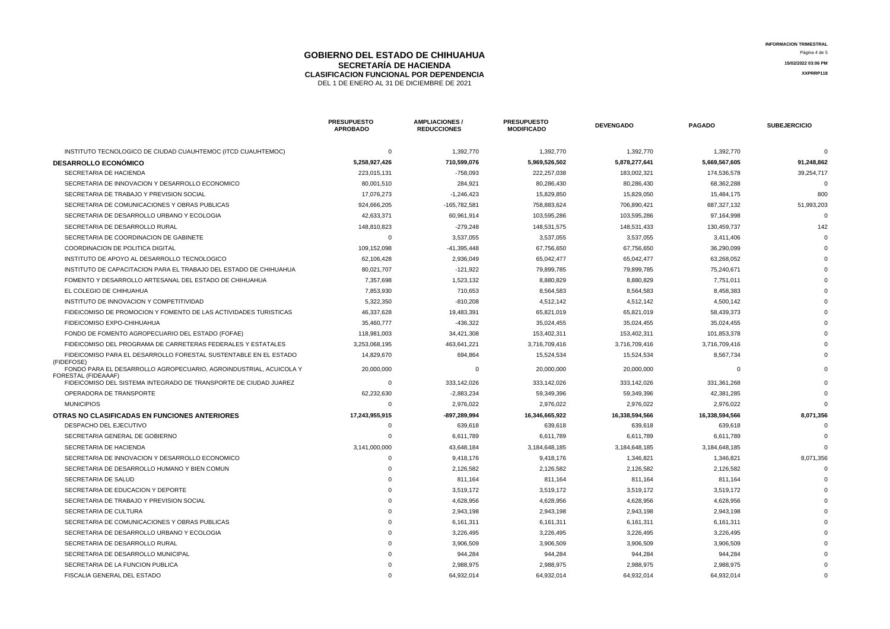**INFORMACION TRIMESTRAL** Página 4 de 5 **15/02/2022 03:06 PM XXPRRP118**

# **GOBIERNO DEL ESTADO DE CHIHUAHUA SECRETARÍA DE HACIENDA CLASIFICACION FUNCIONAL POR DEPENDENCIA**

DEL 1 DE ENERO AL 31 DE DICIEMBRE DE 2021

| 1,392,770      |
|----------------|
| 5,669,567,605  |
| 174,536,578    |
| 68,362,288     |
| 15,484,175     |
| 687,327,132    |
| 97,164,998     |
| 130,459,737    |
| 3.411.406      |
| 36,290,099     |
| 63,268,052     |
| 75,240,671     |
| 7,751,011      |
| 8,458,383      |
| 4,500,142      |
| 58,439,373     |
| 35,024,455     |
| 101,853,378    |
| 3,716,709,416  |
| 8,567,734      |
|                |
| 0              |
| 331,361,268    |
| 42,381,285     |
| 2,976,022      |
| 16,338,594,566 |
| 639,618        |
| 6,611,789      |
| 3,184,648,185  |
| 1,346,821      |
| 2,126,582      |
| 811.164        |
| 3,519,172      |
| 4,628,956      |
| 2,943,198      |
| 6,161,311      |
| 3,226,495      |
| 3,906,509      |
| 944,284        |
| 2,988,975      |

| 0            |
|--------------|
| 91,248,862   |
| 39,254,717   |
| 0            |
| 800          |
| 51,993,203   |
| 0            |
| 142          |
| 0            |
| 0            |
| 0            |
| 0            |
| 0            |
| 0            |
| 0            |
| 0            |
| 0            |
| 0            |
| 0            |
| 0            |
| $\mathbf{0}$ |
| 0            |
| 0            |
| 0            |
| 8,071,356    |
| 0            |
| 0            |
| 0            |
| 8,071,356    |
| 0            |
| 0            |
| $\mathbf{0}$ |
| $\mathbf{0}$ |
| $\mathbf{0}$ |
| 0            |
| $\mathbf{0}$ |
| 0            |
| $\mathbf{0}$ |
| $\mathbf{0}$ |
|              |

|                                                                                          | <b>PRESUPUESTO</b><br><b>APROBADO</b> | <b>AMPLIACIONES /</b><br><b>REDUCCIONES</b> | <b>PRESUPUESTO</b><br><b>MODIFICADO</b> | <b>DEVENGADO</b> | <b>PAGADO</b>  | <b>SUBEJERCICIO</b> |
|------------------------------------------------------------------------------------------|---------------------------------------|---------------------------------------------|-----------------------------------------|------------------|----------------|---------------------|
| INSTITUTO TECNOLOGICO DE CIUDAD CUAUHTEMOC (ITCD CUAUHTEMOC)                             | $\mathbf 0$                           | 1,392,770                                   | 1,392,770                               | 1,392,770        | 1,392,770      |                     |
| <b>DESARROLLO ECONÓMICO</b>                                                              | 5,258,927,426                         | 710,599,076                                 | 5,969,526,502                           | 5,878,277,641    | 5,669,567,605  | 91,248,862          |
| SECRETARIA DE HACIENDA                                                                   | 223,015,131                           | $-758,093$                                  | 222,257,038                             | 183,002,321      | 174,536,578    | 39,254,717          |
| SECRETARIA DE INNOVACION Y DESARROLLO ECONOMICO                                          | 80,001,510                            | 284,921                                     | 80,286,430                              | 80,286,430       | 68,362,288     |                     |
| SECRETARIA DE TRABAJO Y PREVISION SOCIAL                                                 | 17,076,273                            | $-1,246,423$                                | 15,829,850                              | 15,829,050       | 15,484,175     | 80C                 |
| SECRETARIA DE COMUNICACIONES Y OBRAS PUBLICAS                                            | 924,666,205                           | -165,782,581                                | 758,883,624                             | 706,890,421      | 687,327,132    | 51,993,203          |
| SECRETARIA DE DESARROLLO URBANO Y ECOLOGIA                                               | 42,633,371                            | 60,961,914                                  | 103,595,286                             | 103,595,286      | 97,164,998     |                     |
| SECRETARIA DE DESARROLLO RURAL                                                           | 148,810,823                           | $-279,248$                                  | 148,531,575                             | 148,531,433      | 130,459,737    | 142                 |
| SECRETARIA DE COORDINACION DE GABINETE                                                   | $\Omega$                              | 3,537,055                                   | 3,537,055                               | 3,537,055        | 3,411,406      |                     |
| COORDINACION DE POLITICA DIGITAL                                                         | 109,152,098                           | -41,395,448                                 | 67,756,650                              | 67,756,650       | 36,290,099     |                     |
| INSTITUTO DE APOYO AL DESARROLLO TECNOLOGICO                                             | 62,106,428                            | 2,936,049                                   | 65,042,477                              | 65,042,477       | 63,268,052     |                     |
| INSTITUTO DE CAPACITACION PARA EL TRABAJO DEL ESTADO DE CHIHUAHUA                        | 80,021,707                            | $-121,922$                                  | 79,899,785                              | 79,899,785       | 75,240,671     |                     |
| FOMENTO Y DESARROLLO ARTESANAL DEL ESTADO DE CHIHUAHUA                                   | 7,357,698                             | 1,523,132                                   | 8,880,829                               | 8,880,829        | 7,751,011      |                     |
| EL COLEGIO DE CHIHUAHUA                                                                  | 7,853,930                             | 710,653                                     | 8,564,583                               | 8,564,583        | 8,458,383      |                     |
| INSTITUTO DE INNOVACION Y COMPETITIVIDAD                                                 | 5,322,350                             | $-810,208$                                  | 4,512,142                               | 4,512,142        | 4,500,142      |                     |
| FIDEICOMISO DE PROMOCION Y FOMENTO DE LAS ACTIVIDADES TURISTICAS                         | 46,337,628                            | 19,483,391                                  | 65,821,019                              | 65,821,019       | 58,439,373     |                     |
| FIDEICOMISO EXPO-CHIHUAHUA                                                               | 35,460,777                            | $-436,322$                                  | 35,024,455                              | 35,024,455       | 35,024,455     |                     |
| FONDO DE FOMENTO AGROPECUARIO DEL ESTADO (FOFAE)                                         | 118,981,003                           | 34,421,308                                  | 153,402,311                             | 153,402,311      | 101,853,378    |                     |
| FIDEICOMISO DEL PROGRAMA DE CARRETERAS FEDERALES Y ESTATALES                             | 3,253,068,195                         | 463,641,221                                 | 3,716,709,416                           | 3,716,709,416    | 3,716,709,416  |                     |
| FIDEICOMISO PARA EL DESARROLLO FORESTAL SUSTENTABLE EN EL ESTADO<br>(FIDEFOSE)           | 14,829,670                            | 694,864                                     | 15,524,534                              | 15,524,534       | 8,567,734      |                     |
| FONDO PARA EL DESARROLLO AGROPECUARIO, AGROINDUSTRIAL, ACUICOLA Y<br>FORESTAL (FIDEAAAF) | 20,000,000                            | 0                                           | 20,000,000                              | 20,000,000       | 0              |                     |
| FIDEICOMISO DEL SISTEMA INTEGRADO DE TRANSPORTE DE CIUDAD JUAREZ                         | 0                                     | 333,142,026                                 | 333,142,026                             | 333,142,026      | 331, 361, 268  |                     |
| OPERADORA DE TRANSPORTE                                                                  | 62,232,630                            | $-2,883,234$                                | 59,349,396                              | 59,349,396       | 42,381,285     |                     |
| <b>MUNICIPIOS</b>                                                                        | $\Omega$                              | 2,976,022                                   | 2,976,022                               | 2,976,022        | 2,976,022      |                     |
| <b>OTRAS NO CLASIFICADAS EN FUNCIONES ANTERIORES</b>                                     | 17,243,955,915                        | -897,289,994                                | 16,346,665,922                          | 16,338,594,566   | 16,338,594,566 | 8,071,356           |
| DESPACHO DEL EJECUTIVO                                                                   | 0                                     | 639,618                                     | 639,618                                 | 639,618          | 639,618        |                     |
| SECRETARIA GENERAL DE GOBIERNO                                                           | $\Omega$                              | 6,611,789                                   | 6,611,789                               | 6,611,789        | 6,611,789      |                     |
| SECRETARIA DE HACIENDA                                                                   | 3,141,000,000                         | 43,648,184                                  | 3,184,648,185                           | 3,184,648,185    | 3,184,648,185  |                     |
| SECRETARIA DE INNOVACION Y DESARROLLO ECONOMICO                                          | 0                                     | 9,418,176                                   | 9,418,176                               | 1,346,821        | 1,346,821      | 8,071,356           |
| SECRETARIA DE DESARROLLO HUMANO Y BIEN COMUN                                             | 0                                     | 2,126,582                                   | 2,126,582                               | 2,126,582        | 2,126,582      |                     |
| SECRETARIA DE SALUD                                                                      | $\Omega$                              | 811,164                                     | 811,164                                 | 811,164          | 811,164        |                     |
| SECRETARIA DE EDUCACION Y DEPORTE                                                        | $\Omega$                              | 3,519,172                                   | 3,519,172                               | 3,519,172        | 3,519,172      |                     |
| SECRETARIA DE TRABAJO Y PREVISION SOCIAL                                                 | $\Omega$                              | 4,628,956                                   | 4,628,956                               | 4,628,956        | 4,628,956      |                     |
| SECRETARIA DE CULTURA                                                                    | $\Omega$                              | 2,943,198                                   | 2,943,198                               | 2,943,198        | 2,943,198      |                     |
| SECRETARIA DE COMUNICACIONES Y OBRAS PUBLICAS                                            |                                       | 6,161,311                                   | 6,161,311                               | 6,161,311        | 6,161,311      |                     |
| SECRETARIA DE DESARROLLO URBANO Y ECOLOGIA                                               | $\Omega$                              | 3,226,495                                   | 3,226,495                               | 3,226,495        | 3,226,495      |                     |
| SECRETARIA DE DESARROLLO RURAL                                                           | $\Omega$                              | 3,906,509                                   | 3,906,509                               | 3,906,509        | 3,906,509      |                     |
| SECRETARIA DE DESARROLLO MUNICIPAL                                                       | $\Omega$                              | 944,284                                     | 944,284                                 | 944,284          | 944,284        |                     |
| SECRETARIA DE LA FUNCION PUBLICA                                                         | 0                                     | 2,988,975                                   | 2,988,975                               | 2,988,975        | 2,988,975      |                     |
| FISCALIA GENERAL DEL ESTADO                                                              | $\Omega$                              | 64,932,014                                  | 64,932,014                              | 64,932,014       | 64,932,014     |                     |